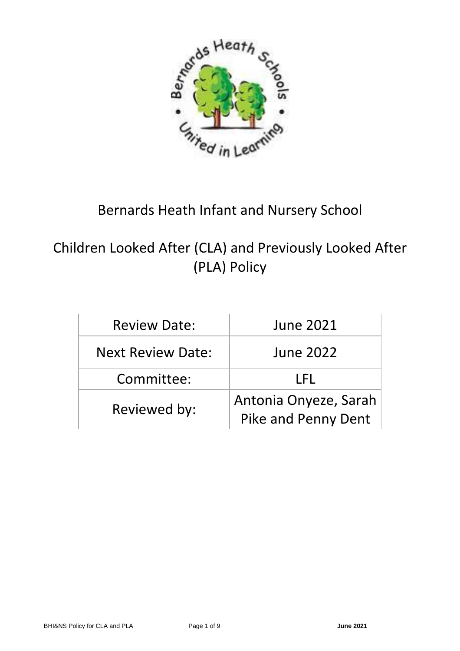

# Bernards Heath Infant and Nursery School

Children Looked After (CLA) and Previously Looked After (PLA) Policy

| <b>Review Date:</b>      | <b>June 2021</b>                                    |
|--------------------------|-----------------------------------------------------|
| <b>Next Review Date:</b> | <b>June 2022</b>                                    |
| Committee:               | I FL                                                |
| Reviewed by:             | Antonia Onyeze, Sarah<br><b>Pike and Penny Dent</b> |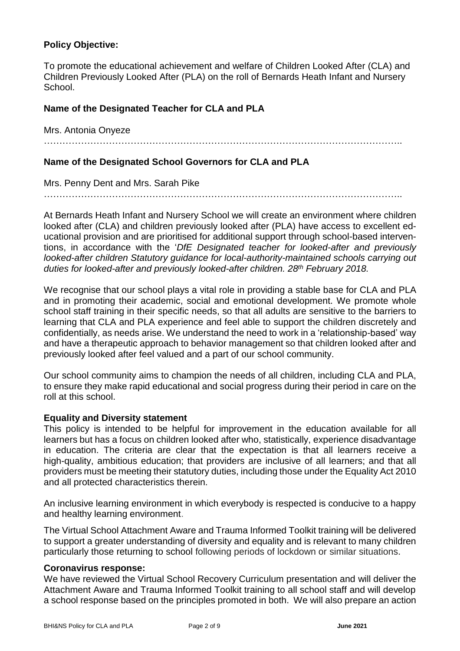## **Policy Objective:**

To promote the educational achievement and welfare of Children Looked After (CLA) and Children Previously Looked After (PLA) on the roll of Bernards Heath Infant and Nursery School.

## **Name of the Designated Teacher for CLA and PLA**

Mrs. Antonia Onyeze

……………………………………………………………………………………………………..

## **Name of the Designated School Governors for CLA and PLA**

Mrs. Penny Dent and Mrs. Sarah Pike

At Bernards Heath Infant and Nursery School we will create an environment where children looked after (CLA) and children previously looked after (PLA) have access to excellent educational provision and are prioritised for additional support through school-based interventions, in accordance with the '*DfE Designated teacher for looked-after and previously looked-after children Statutory guidance for local-authority-maintained schools carrying out duties for looked-after and previously looked-after children. 28th February 2018.*

We recognise that our school plays a vital role in providing a stable base for CLA and PLA and in promoting their academic, social and emotional development. We promote whole school staff training in their specific needs, so that all adults are sensitive to the barriers to learning that CLA and PLA experience and feel able to support the children discretely and confidentially, as needs arise. We understand the need to work in a 'relationship-based' way and have a therapeutic approach to behavior management so that children looked after and previously looked after feel valued and a part of our school community.

Our school community aims to champion the needs of all children, including CLA and PLA, to ensure they make rapid educational and social progress during their period in care on the roll at this school.

## **Equality and Diversity statement**

This policy is intended to be helpful for improvement in the education available for all learners but has a focus on children looked after who, statistically, experience disadvantage in education. The criteria are clear that the expectation is that all learners receive a high-quality, ambitious education; that providers are inclusive of all learners; and that all providers must be meeting their statutory duties, including those under the Equality Act 2010 and all protected characteristics therein.

An inclusive learning environment in which everybody is respected is conducive to a happy and healthy learning environment.

The Virtual School Attachment Aware and Trauma Informed Toolkit training will be delivered to support a greater understanding of diversity and equality and is relevant to many children particularly those returning to school following periods of lockdown or similar situations.

#### **Coronavirus response:**

We have reviewed the Virtual School Recovery Curriculum presentation and will deliver the Attachment Aware and Trauma Informed Toolkit training to all school staff and will develop a school response based on the principles promoted in both. We will also prepare an action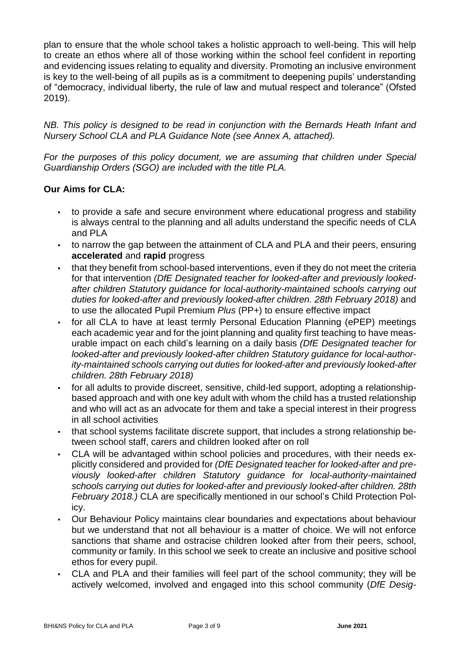plan to ensure that the whole school takes a holistic approach to well-being. This will help to create an ethos where all of those working within the school feel confident in reporting and evidencing issues relating to equality and diversity. Promoting an inclusive environment is key to the well-being of all pupils as is a commitment to deepening pupils' understanding of "democracy, individual liberty, the rule of law and mutual respect and tolerance" (Ofsted 2019).

*NB. This policy is designed to be read in conjunction with the Bernards Heath Infant and Nursery School CLA and PLA Guidance Note (see Annex A, attached).*

*For the purposes of this policy document, we are assuming that children under Special Guardianship Orders (SGO) are included with the title PLA.*

## **Our Aims for CLA:**

- to provide a safe and secure environment where educational progress and stability is always central to the planning and all adults understand the specific needs of CLA and PLA
- to narrow the gap between the attainment of CLA and PLA and their peers, ensuring **accelerated** and **rapid** progress
- that they benefit from school-based interventions, even if they do not meet the criteria for that intervention *(DfE Designated teacher for looked-after and previously lookedafter children Statutory guidance for local-authority-maintained schools carrying out duties for looked-after and previously looked-after children. 28th February 2018)* and to use the allocated Pupil Premium *Plus* (PP+) to ensure effective impact
- for all CLA to have at least termly Personal Education Planning (ePEP) meetings each academic year and for the joint planning and quality first teaching to have measurable impact on each child's learning on a daily basis *(DfE Designated teacher for looked-after and previously looked-after children Statutory guidance for local-authority-maintained schools carrying out duties for looked-after and previously looked-after children. 28th February 2018)*
- for all adults to provide discreet, sensitive, child-led support, adopting a relationshipbased approach and with one key adult with whom the child has a trusted relationship and who will act as an advocate for them and take a special interest in their progress in all school activities
- that school systems facilitate discrete support, that includes a strong relationship between school staff, carers and children looked after on roll
- CLA will be advantaged within school policies and procedures, with their needs explicitly considered and provided for *(DfE Designated teacher for looked-after and previously looked-after children Statutory guidance for local-authority-maintained schools carrying out duties for looked-after and previously looked-after children. 28th February 2018.)* CLA are specifically mentioned in our school's Child Protection Policy.
- Our Behaviour Policy maintains clear boundaries and expectations about behaviour but we understand that not all behaviour is a matter of choice. We will not enforce sanctions that shame and ostracise children looked after from their peers, school, community or family. In this school we seek to create an inclusive and positive school ethos for every pupil.
- CLA and PLA and their families will feel part of the school community; they will be actively welcomed, involved and engaged into this school community (*DfE Desig-*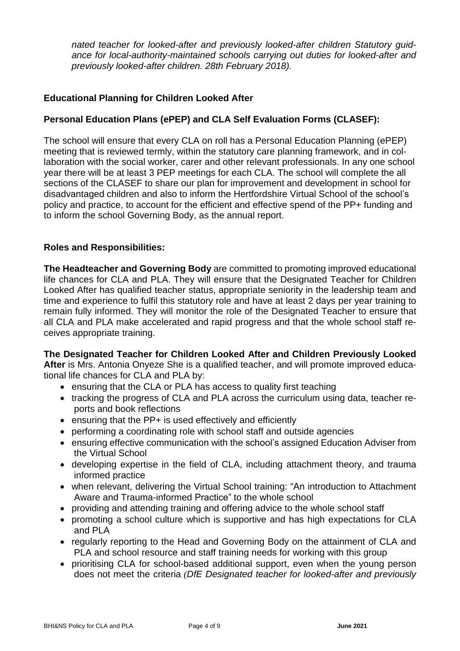*nated teacher for looked-after and previously looked-after children Statutory guidance for local-authority-maintained schools carrying out duties for looked-after and previously looked-after children. 28th February 2018).*

## **Educational Planning for Children Looked After**

## **Personal Education Plans (ePEP) and CLA Self Evaluation Forms (CLASEF):**

The school will ensure that every CLA on roll has a Personal Education Planning (ePEP) meeting that is reviewed termly, within the statutory care planning framework, and in collaboration with the social worker, carer and other relevant professionals. In any one school year there will be at least 3 PEP meetings for each CLA. The school will complete the all sections of the CLASEF to share our plan for improvement and development in school for disadvantaged children and also to inform the Hertfordshire Virtual School of the school's policy and practice, to account for the efficient and effective spend of the PP+ funding and to inform the school Governing Body, as the annual report.

## **Roles and Responsibilities:**

**The Headteacher and Governing Body** are committed to promoting improved educational life chances for CLA and PLA. They will ensure that the Designated Teacher for Children Looked After has qualified teacher status, appropriate seniority in the leadership team and time and experience to fulfil this statutory role and have at least 2 days per year training to remain fully informed. They will monitor the role of the Designated Teacher to ensure that all CLA and PLA make accelerated and rapid progress and that the whole school staff receives appropriate training.

**The Designated Teacher for Children Looked After and Children Previously Looked After** is Mrs. Antonia Onyeze She is a qualified teacher, and will promote improved educational life chances for CLA and PLA by:

- ensuring that the CLA or PLA has access to quality first teaching
- tracking the progress of CLA and PLA across the curriculum using data, teacher reports and book reflections
- ensuring that the PP+ is used effectively and efficiently
- performing a coordinating role with school staff and outside agencies
- ensuring effective communication with the school's assigned Education Adviser from the Virtual School
- developing expertise in the field of CLA, including attachment theory, and trauma informed practice
- when relevant, delivering the Virtual School training: "An introduction to Attachment Aware and Trauma-informed Practice" to the whole school
- providing and attending training and offering advice to the whole school staff
- promoting a school culture which is supportive and has high expectations for CLA and PLA
- regularly reporting to the Head and Governing Body on the attainment of CLA and PLA and school resource and staff training needs for working with this group
- prioritising CLA for school-based additional support, even when the young person does not meet the criteria *(DfE Designated teacher for looked-after and previously*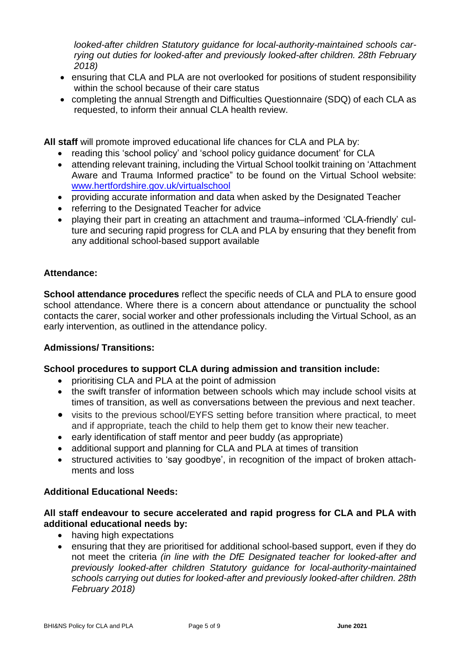*looked-after children Statutory guidance for local-authority-maintained schools carrying out duties for looked-after and previously looked-after children. 28th February 2018)*

- ensuring that CLA and PLA are not overlooked for positions of student responsibility within the school because of their care status
- completing the annual Strength and Difficulties Questionnaire (SDQ) of each CLA as requested, to inform their annual CLA health review.

**All staff** will promote improved educational life chances for CLA and PLA by:

- reading this 'school policy' and 'school policy guidance document' for CLA
- attending relevant training, including the Virtual School toolkit training on 'Attachment Aware and Trauma Informed practice" to be found on the Virtual School website: [www.hertfordshire.gov.uk/virtualschool](http://www.hertfordshire.gov.uk/virtualschool)
- providing accurate information and data when asked by the Designated Teacher
- referring to the Designated Teacher for advice
- playing their part in creating an attachment and trauma–informed 'CLA-friendly' culture and securing rapid progress for CLA and PLA by ensuring that they benefit from any additional school-based support available

## **Attendance:**

**School attendance procedures** reflect the specific needs of CLA and PLA to ensure good school attendance. Where there is a concern about attendance or punctuality the school contacts the carer, social worker and other professionals including the Virtual School, as an early intervention, as outlined in the attendance policy.

## **Admissions/ Transitions:**

## **School procedures to support CLA during admission and transition include:**

- prioritising CLA and PLA at the point of admission
- the swift transfer of information between schools which may include school visits at times of transition, as well as conversations between the previous and next teacher.
- visits to the previous school/EYFS setting before transition where practical, to meet and if appropriate, teach the child to help them get to know their new teacher.
- early identification of staff mentor and peer buddy (as appropriate)
- additional support and planning for CLA and PLA at times of transition
- structured activities to 'say goodbye', in recognition of the impact of broken attachments and loss

## **Additional Educational Needs:**

## **All staff endeavour to secure accelerated and rapid progress for CLA and PLA with additional educational needs by:**

- having high expectations
- ensuring that they are prioritised for additional school-based support, even if they do not meet the criteria *(in line with the DfE Designated teacher for looked-after and previously looked-after children Statutory guidance for local-authority-maintained schools carrying out duties for looked-after and previously looked-after children. 28th February 2018)*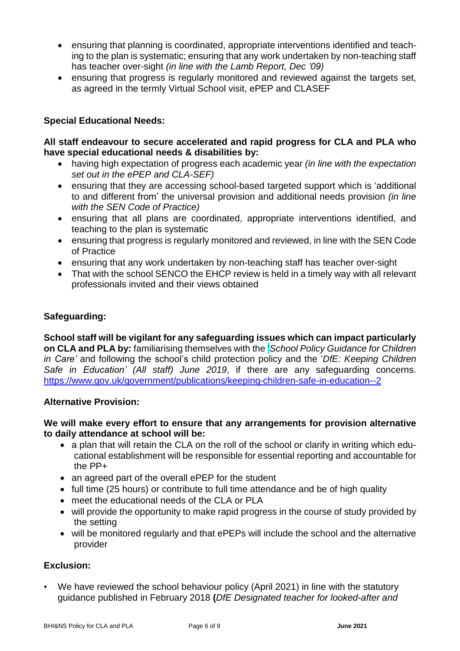- ensuring that planning is coordinated, appropriate interventions identified and teaching to the plan is systematic; ensuring that any work undertaken by non-teaching staff has teacher over-sight *(in line with the Lamb Report, Dec '09)*
- ensuring that progress is regularly monitored and reviewed against the targets set, as agreed in the termly Virtual School visit, ePEP and CLASEF

## **Special Educational Needs:**

## **All staff endeavour to secure accelerated and rapid progress for CLA and PLA who have special educational needs & disabilities by:**

- having high expectation of progress each academic year *(in line with the expectation set out in the ePEP and CLA-SEF)*
- ensuring that they are accessing school-based targeted support which is 'additional to and different from' the universal provision and additional needs provision *(in line with the SEN Code of Practice)*
- ensuring that all plans are coordinated, appropriate interventions identified, and teaching to the plan is systematic
- ensuring that progress is regularly monitored and reviewed, in line with the SEN Code of Practice
- ensuring that any work undertaken by non-teaching staff has teacher over-sight
- That with the school SENCO the EHCP review is held in a timely way with all relevant professionals invited and their views obtained

## **Safeguarding:**

**School staff will be vigilant for any safeguarding issues which can impact particularly on CLA and PLA by:** familiarising themselves with the '*School Policy Guidance for Children in Care'* and following the school's child protection policy and the '*DfE: Keeping Children Safe in Education' (All staff) June 2019*, if there are any safeguarding concerns. <https://www.gov.uk/government/publications/keeping-children-safe-in-education--2>

## **Alternative Provision:**

## **We will make every effort to ensure that any arrangements for provision alternative to daily attendance at school will be:**

- a plan that will retain the CLA on the roll of the school or clarify in writing which educational establishment will be responsible for essential reporting and accountable for the PP+
- an agreed part of the overall ePEP for the student
- full time (25 hours) or contribute to full time attendance and be of high quality
- meet the educational needs of the CLA or PLA
- will provide the opportunity to make rapid progress in the course of study provided by the setting
- will be monitored regularly and that ePEPs will include the school and the alternative provider

## **Exclusion:**

• We have reviewed the school behaviour policy (April 2021) in line with the statutory guidance published in February 2018 **(***DfE Designated teacher for looked-after and*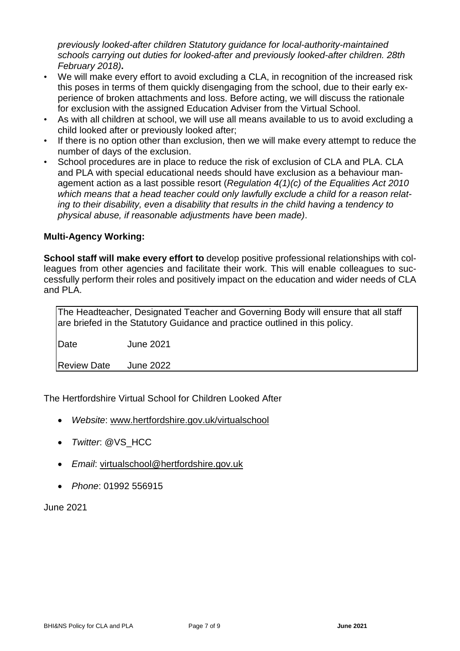*previously looked-after children Statutory guidance for local-authority-maintained schools carrying out duties for looked-after and previously looked-after children. 28th February 2018)***.**

- We will make every effort to avoid excluding a CLA, in recognition of the increased risk this poses in terms of them quickly disengaging from the school, due to their early experience of broken attachments and loss. Before acting, we will discuss the rationale for exclusion with the assigned Education Adviser from the Virtual School.
- As with all children at school, we will use all means available to us to avoid excluding a child looked after or previously looked after;
- If there is no option other than exclusion, then we will make every attempt to reduce the number of days of the exclusion.
- School procedures are in place to reduce the risk of exclusion of CLA and PLA. CLA and PLA with special educational needs should have exclusion as a behaviour management action as a last possible resort (*Regulation 4(1)(c) of the Equalities Act 2010 which means that a head teacher could only lawfully exclude a child for a reason relating to their disability, even a disability that results in the child having a tendency to physical abuse, if reasonable adjustments have been made)*.

## **Multi-Agency Working:**

**School staff will make every effort to** develop positive professional relationships with colleagues from other agencies and facilitate their work. This will enable colleagues to successfully perform their roles and positively impact on the education and wider needs of CLA and PLA.

The Headteacher, Designated Teacher and Governing Body will ensure that all staff are briefed in the Statutory Guidance and practice outlined in this policy.

Date June 2021

Review Date June 2022

The Hertfordshire Virtual School for Children Looked After

- *Website*: [www.hertfordshire.gov.uk/virtualschool](http://www.hertfordshire.gov.uk/virtualschool)
- *Twitter*: @VS\_HCC
- *Email*: [virtualschool@hertfordshire.gov.uk](mailto:virtualschool@hertfordshire.gov.uk)
- *Phone*: 01992 556915

June 2021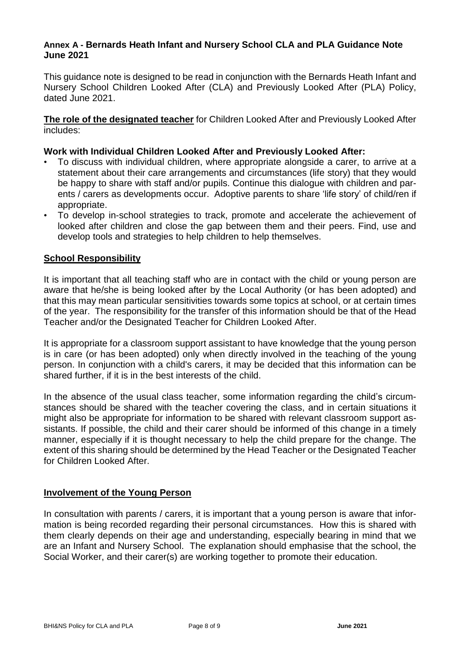#### **Annex A - Bernards Heath Infant and Nursery School CLA and PLA Guidance Note June 2021**

This guidance note is designed to be read in conjunction with the Bernards Heath Infant and Nursery School Children Looked After (CLA) and Previously Looked After (PLA) Policy, dated June 2021.

**The role of the designated teacher** for Children Looked After and Previously Looked After includes:

## **Work with Individual Children Looked After and Previously Looked After:**

- To discuss with individual children, where appropriate alongside a carer, to arrive at a statement about their care arrangements and circumstances (life story) that they would be happy to share with staff and/or pupils. Continue this dialogue with children and parents / carers as developments occur. Adoptive parents to share 'life story' of child/ren if appropriate.
- To develop in-school strategies to track, promote and accelerate the achievement of looked after children and close the gap between them and their peers. Find, use and develop tools and strategies to help children to help themselves.

## **School Responsibility**

It is important that all teaching staff who are in contact with the child or young person are aware that he/she is being looked after by the Local Authority (or has been adopted) and that this may mean particular sensitivities towards some topics at school, or at certain times of the year. The responsibility for the transfer of this information should be that of the Head Teacher and/or the Designated Teacher for Children Looked After.

It is appropriate for a classroom support assistant to have knowledge that the young person is in care (or has been adopted) only when directly involved in the teaching of the young person. In conjunction with a child's carers, it may be decided that this information can be shared further, if it is in the best interests of the child.

In the absence of the usual class teacher, some information regarding the child's circumstances should be shared with the teacher covering the class, and in certain situations it might also be appropriate for information to be shared with relevant classroom support assistants. If possible, the child and their carer should be informed of this change in a timely manner, especially if it is thought necessary to help the child prepare for the change. The extent of this sharing should be determined by the Head Teacher or the Designated Teacher for Children Looked After.

## **Involvement of the Young Person**

In consultation with parents / carers, it is important that a young person is aware that information is being recorded regarding their personal circumstances. How this is shared with them clearly depends on their age and understanding, especially bearing in mind that we are an Infant and Nursery School. The explanation should emphasise that the school, the Social Worker, and their carer(s) are working together to promote their education.